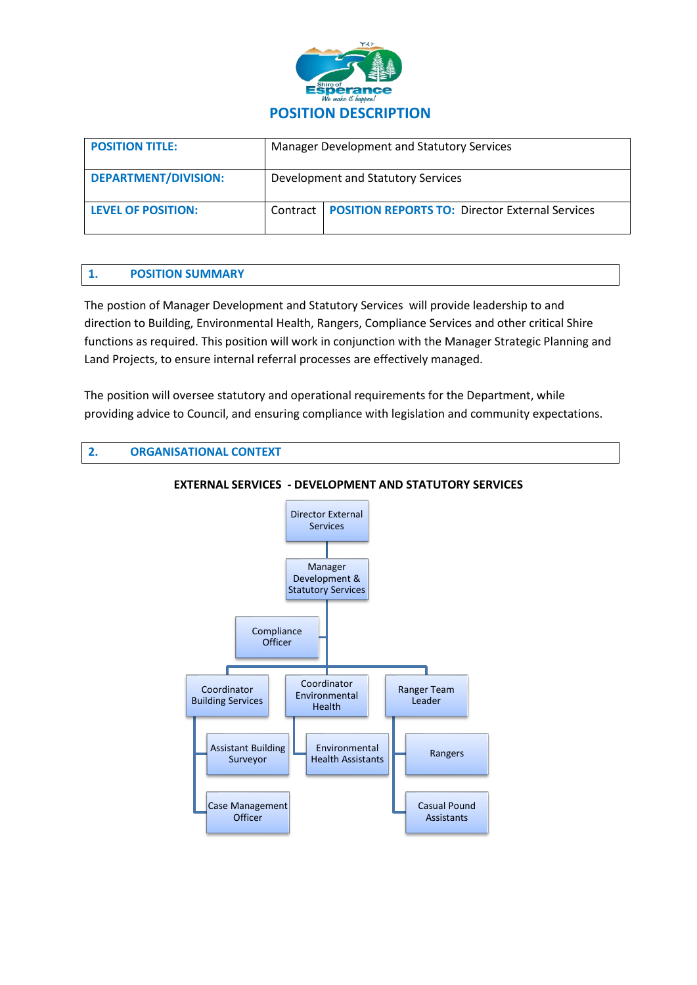

| <b>POSITION TITLE:</b>      | Manager Development and Statutory Services |                                                            |
|-----------------------------|--------------------------------------------|------------------------------------------------------------|
| <b>DEPARTMENT/DIVISION:</b> | Development and Statutory Services         |                                                            |
| <b>LEVEL OF POSITION:</b>   |                                            | Contract   POSITION REPORTS TO: Director External Services |

# **1. POSITION SUMMARY**

The postion of Manager Development and Statutory Services will provide leadership to and direction to Building, Environmental Health, Rangers, Compliance Services and other critical Shire functions as required. This position will work in conjunction with the Manager Strategic Planning and Land Projects, to ensure internal referral processes are effectively managed.

The position will oversee statutory and operational requirements for the Department, while providing advice to Council, and ensuring compliance with legislation and community expectations.

# **2. ORGANISATIONAL CONTEXT**



#### **EXTERNAL SERVICES - DEVELOPMENT AND STATUTORY SERVICES**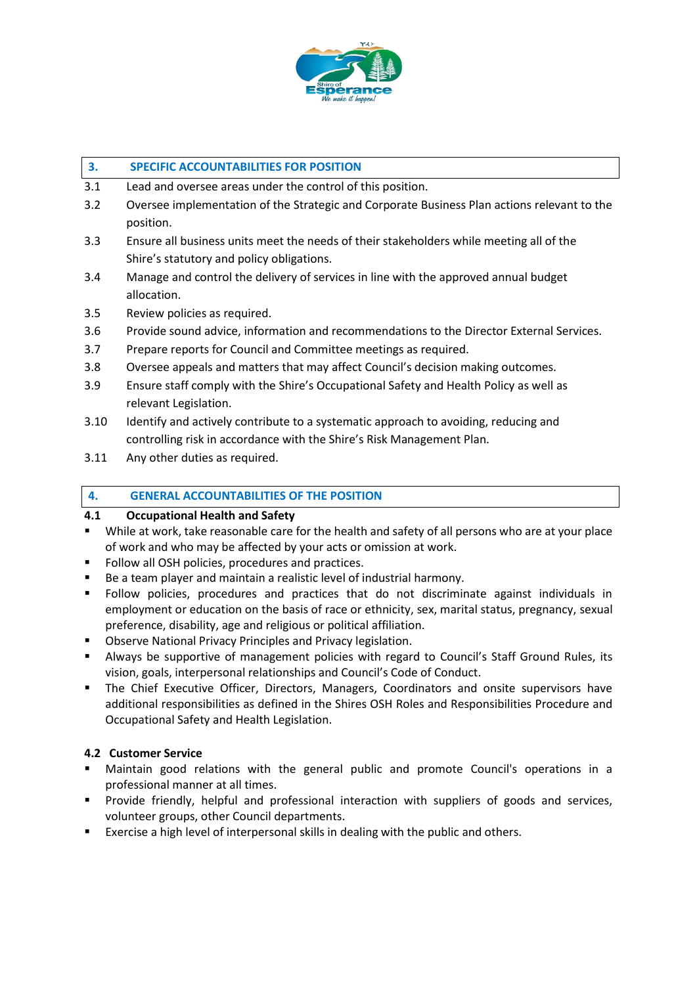

#### **3. SPECIFIC ACCOUNTABILITIES FOR POSITION**

- 3.1 Lead and oversee areas under the control of this position.
- 3.2 Oversee implementation of the Strategic and Corporate Business Plan actions relevant to the position.
- 3.3 Ensure all business units meet the needs of their stakeholders while meeting all of the Shire's statutory and policy obligations.
- 3.4 Manage and control the delivery of services in line with the approved annual budget allocation.
- 3.5 Review policies as required.
- 3.6 Provide sound advice, information and recommendations to the Director External Services.
- 3.7 Prepare reports for Council and Committee meetings as required.
- 3.8 Oversee appeals and matters that may affect Council's decision making outcomes.
- 3.9 Ensure staff comply with the Shire's Occupational Safety and Health Policy as well as relevant Legislation.
- 3.10 Identify and actively contribute to a systematic approach to avoiding, reducing and controlling risk in accordance with the Shire's Risk Management Plan.
- 3.11 Any other duties as required.

# **4. GENERAL ACCOUNTABILITIES OF THE POSITION**

### **4.1 Occupational Health and Safety**

- While at work, take reasonable care for the health and safety of all persons who are at your place of work and who may be affected by your acts or omission at work.
- Follow all OSH policies, procedures and practices.
- Be a team player and maintain a realistic level of industrial harmony.
- Follow policies, procedures and practices that do not discriminate against individuals in employment or education on the basis of race or ethnicity, sex, marital status, pregnancy, sexual preference, disability, age and religious or political affiliation.
- Observe National Privacy Principles and Privacy legislation.
- Always be supportive of management policies with regard to Council's Staff Ground Rules, its vision, goals, interpersonal relationships and Council's Code of Conduct.
- **•** The Chief Executive Officer, Directors, Managers, Coordinators and onsite supervisors have additional responsibilities as defined in the Shires OSH Roles and Responsibilities Procedure and Occupational Safety and Health Legislation.

### **4.2 Customer Service**

- Maintain good relations with the general public and promote Council's operations in a professional manner at all times.
- Provide friendly, helpful and professional interaction with suppliers of goods and services, volunteer groups, other Council departments.
- Exercise a high level of interpersonal skills in dealing with the public and others.